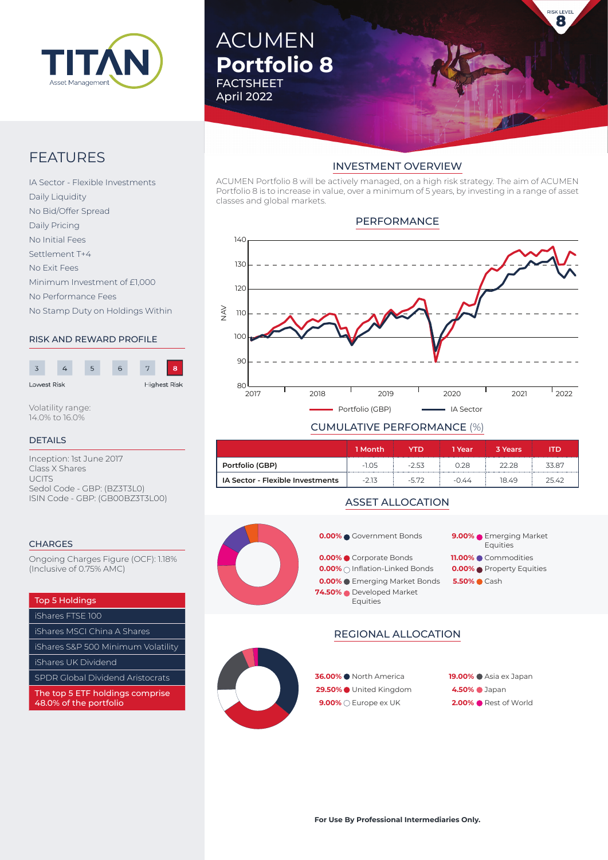

# FACTSHEET April 2022 ACUMEN **Portfolio 8**



IA Sector - Flexible Investments Daily Liquidity No Bid/Offer Spread Daily Pricing No Initial Fees Settlement T+4 No Exit Fees Minimum Investment of £1,000 No Performance Fees No Stamp Duty on Holdings Within

# RISK AND REWARD PROFILE



Volatility range: 14.0% to 16.0%

# DETAILS

Inception: 1st June 2017 Class X Shares **UCITS** Sedol Code - GBP: (BZ3T3L0) ISIN Code - GBP: (GB00BZ3T3L00)

#### **CHARGES**

Ongoing Charges Figure (OCF): 1.18% (Inclusive of 0.75% AMC)

# Top 5 Holdings

iShares FTSE 100

iShares MSCI China A Shares

iShares S&P 500 Minimum Volatility

iShares UK Dividend

SPDR Global Dividend Aristocrats

The top 5 ETF holdings comprise 48.0% of the portfolio

# INVESTMENT OVERVIEW

ACUMEN Portfolio 8 will be actively managed, on a high risk strategy. The aim of ACUMEN Portfolio 8 is to increase in value, over a minimum of 5 years, by investing in a range of asset classes and global markets.

# PERFORMANCE



# CUMULATIVE PERFORMANCE (%)

|                                  | 1 Month | YTD     | 1 Year  | 3 Years | ITD   |
|----------------------------------|---------|---------|---------|---------|-------|
| Portfolio (GBP)                  | $-1.05$ | $-2.53$ | 0.28    | 22.28   | 33.87 |
| IA Sector - Flexible Investments | $-2.13$ | $-572$  | $-0.44$ | 18 49   | 25.42 |

# ASSET ALLOCATION



**0.00%** Corporate Bonds **11.00%** Commodities **0.00%** ○ Inflation-Linked Bonds **0.00%** ● Property Equities **0.00% ●** Emerging Market Bonds **5.50%** ● Cash **74.50%** Developed Market **Equities** 



**RISK LEVEL** 8

# REGIONAL ALLOCATION



| 19.00% Asia ex Japan |
|----------------------|
| 4.50% 3apan          |
| 2.00% Rest of World  |
|                      |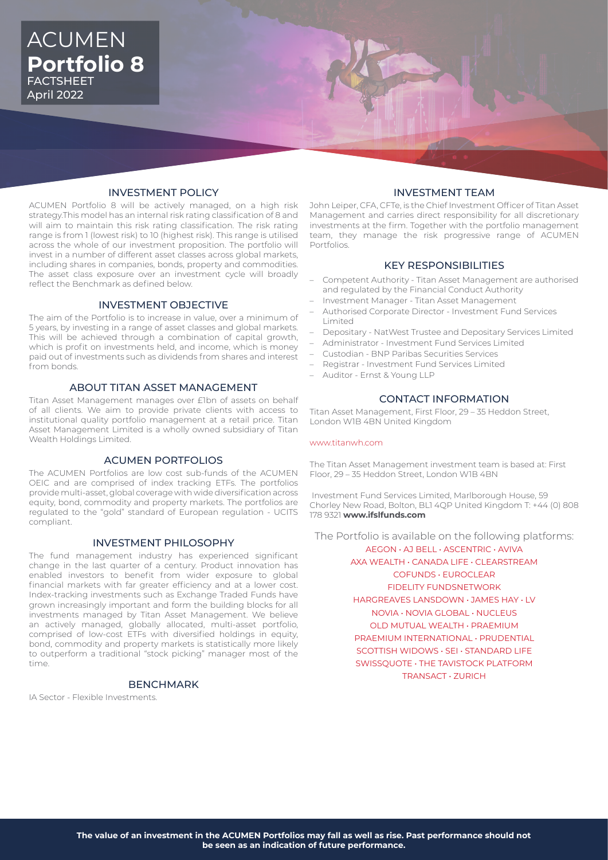

## INVESTMENT POLICY

ACUMEN Portfolio 8 will be actively managed, on a high risk strategy.This model has an internal risk rating classification of 8 and will aim to maintain this risk rating classification. The risk rating range is from 1 (lowest risk) to 10 (highest risk). This range is utilised across the whole of our investment proposition. The portfolio will invest in a number of different asset classes across global markets, including shares in companies, bonds, property and commodities. The asset class exposure over an investment cycle will broadly reflect the Benchmark as defined below.

#### INVESTMENT OBJECTIVE

The aim of the Portfolio is to increase in value, over a minimum of 5 years, by investing in a range of asset classes and global markets. This will be achieved through a combination of capital growth, which is profit on investments held, and income, which is money paid out of investments such as dividends from shares and interest from bonds.

# ABOUT TITAN ASSET MANAGEMENT

Titan Asset Management manages over £1bn of assets on behalf of all clients. We aim to provide private clients with access to institutional quality portfolio management at a retail price. Titan Asset Management Limited is a wholly owned subsidiary of Titan Wealth Holdings Limited.

#### ACUMEN PORTFOLIOS

The ACUMEN Portfolios are low cost sub-funds of the ACUMEN OEIC and are comprised of index tracking ETFs. The portfolios provide multi-asset, global coverage with wide diversification across equity, bond, commodity and property markets. The portfolios are regulated to the "gold" standard of European regulation - UCITS compliant.

#### INVESTMENT PHILOSOPHY

The fund management industry has experienced significant change in the last quarter of a century. Product innovation has enabled investors to benefit from wider exposure to global financial markets with far greater efficiency and at a lower cost. Index-tracking investments such as Exchange Traded Funds have grown increasingly important and form the building blocks for all investments managed by Titan Asset Management. We believe an actively managed, globally allocated, multi-asset portfolio, comprised of low-cost ETFs with diversified holdings in equity, bond, commodity and property markets is statistically more likely to outperform a traditional "stock picking" manager most of the time.

#### BENCHMARK

IA Sector - Flexible Investments.

## INVESTMENT TEAM

John Leiper, CFA, CFTe, is the Chief Investment Officer of Titan Asset Management and carries direct responsibility for all discretionary investments at the firm. Together with the portfolio management team, they manage the risk progressive range of ACUMEN Portfolios.

# KEY RESPONSIBILITIES

- Competent Authority Titan Asset Management are authorised and regulated by the Financial Conduct Authority
- Investment Manager Titan Asset Management
- Authorised Corporate Director Investment Fund Services Limited
- Depositary NatWest Trustee and Depositary Services Limited
- Administrator Investment Fund Services Limited
- Custodian BNP Paribas Securities Services
- Registrar Investment Fund Services Limited
- Auditor Ernst & Young LLP

# CONTACT INFORMATION

Titan Asset Management, First Floor, 29 – 35 Heddon Street, London W1B 4BN United Kingdom

#### www.titanwh.com

The Titan Asset Management investment team is based at: First Floor, 29 – 35 Heddon Street, London W1B 4BN

 Investment Fund Services Limited, Marlborough House, 59 Chorley New Road, Bolton, BL1 4QP United Kingdom T: +44 (0) 808 178 9321 **www.ifslfunds.com**

The Portfolio is available on the following platforms: AEGON • AJ BELL • ASCENTRIC • AVIVA

> AXA WEALTH • CANADA LIFE • CLEARSTREAM COFUNDS • EUROCLEAR FIDELITY FUNDSNETWORK HARGREAVES LANSDOWN • JAMES HAY • LV NOVIA • NOVIA GLOBAL • NUCLEUS OLD MUTUAL WEALTH • PRAEMIUM PRAEMIUM INTERNATIONAL • PRUDENTIAL SCOTTISH WIDOWS • SEI • STANDARD LIFE SWISSQUOTE • THE TAVISTOCK PLATFORM TRANSACT • ZURICH